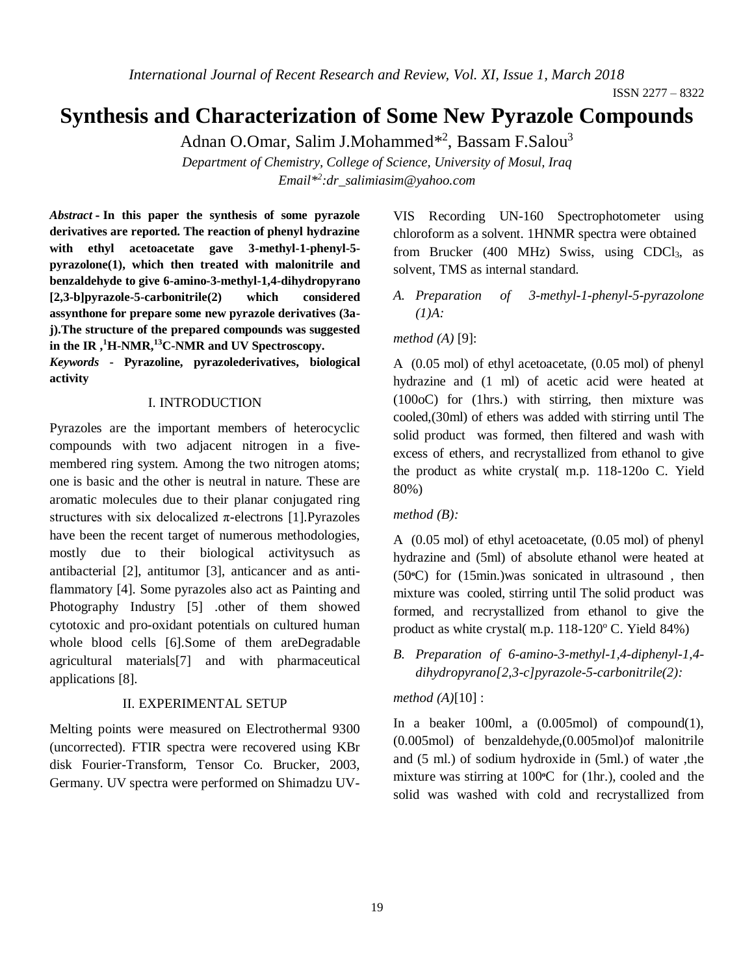# **Synthesis and Characterization of Some New Pyrazole Compounds**

Adnan O.Omar, Salim J.Mohammed<sup>\*2</sup>, Bassam F.Salou<sup>3</sup>

*Department of Chemistry, College of Science, University of Mosul, Iraq Email\* 2 [:dr\\_salimiasim@yahoo.com](mailto:dr_salimiasim@yahoo.com)*

*Abstract* **- In this paper the synthesis of some pyrazole derivatives are reported. The reaction of phenyl hydrazine with ethyl acetoacetate gave 3-methyl-1-phenyl-5 pyrazolone(1), which then treated with malonitrile and benzaldehyde to give 6-amino-3-methyl-1,4-dihydropyrano [2,3-b]pyrazole-5-carbonitrile(2) which considered assynthone for prepare some new pyrazole derivatives (3aj).The structure of the prepared compounds was suggested in the IR ,<sup>1</sup>H-NMR,<sup>13</sup>C-NMR and UV Spectroscopy.**

*Keywords* **- Pyrazoline, pyrazolederivatives, biological activity**

#### I. INTRODUCTION

Pyrazoles are the important members of heterocyclic compounds with two adjacent nitrogen in a fivemembered ring system. Among the two nitrogen atoms; one is basic and the other is neutral in nature. These are aromatic molecules due to their planar conjugated ring structures with six delocalized  $\pi$ -electrons [1]. Pyrazoles have been the recent target of numerous methodologies, mostly due to their biological activitysuch as antibacterial [2], antitumor [3], anticancer and as antiflammatory [4]. Some pyrazoles also act as Painting and Photography Industry [5] .other of them showed cytotoxic and pro-oxidant potentials on cultured human whole blood cells [6].Some of them areDegradable agricultural materials[7] and with pharmaceutical applications [8].

#### II. EXPERIMENTAL SETUP

Melting points were measured on Electrothermal 9300 (uncorrected). FTIR spectra were recovered using KBr disk Fourier-Transform, Tensor Co. Brucker, 2003, Germany. UV spectra were performed on Shimadzu UV-

VIS Recording UN-160 Spectrophotometer using chloroform as a solvent. 1HNMR spectra were obtained from Brucker (400 MHz) Swiss, using CDCl3, as solvent, TMS as internal standard.

*A. Preparation of 3-methyl-1-phenyl-5-pyrazolone (1)A:*

*method (A)* [9]:

A (0.05 mol) of ethyl acetoacetate, (0.05 mol) of phenyl hydrazine and (1 ml) of acetic acid were heated at (100oC) for (1hrs.) with stirring, then mixture was cooled,(30ml) of ethers was added with stirring until The solid product was formed, then filtered and wash with excess of ethers, and recrystallized from ethanol to give the product as white crystal( m.p. 118-120o C. Yield 80%)

*method (B):*

A (0.05 mol) of ethyl acetoacetate, (0.05 mol) of phenyl hydrazine and (5ml) of absolute ethanol were heated at (50**o**C) for (15min.)was sonicated in ultrasound , then mixture was cooled, stirring until The solid product was formed, and recrystallized from ethanol to give the product as white crystal( m.p.  $118-120^{\circ}$  C. Yield 84%)

*B. Preparation of 6-amino-3-methyl-1,4-diphenyl-1,4 dihydropyrano[2,3-c]pyrazole-5-carbonitrile(2):*

#### *method (A)*[10] :

In a beaker 100ml, a  $(0.005 \text{ mol})$  of compound(1), (0.005mol) of benzaldehyde,(0.005mol)of malonitrile and (5 ml.) of sodium hydroxide in (5ml.) of water ,the mixture was stirring at 100<sup>o</sup>C for (1hr.), cooled and the solid was washed with cold and recrystallized from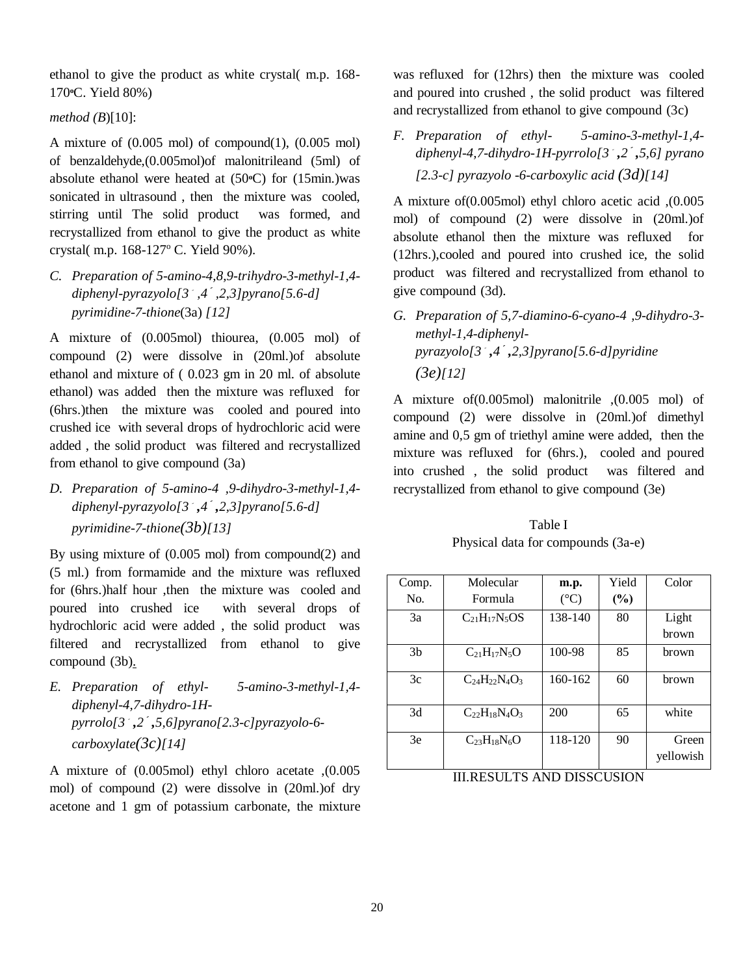ethanol to give the product as white crystal( m.p. 168- 170 **<sup>o</sup>**C. Yield 80%)

## *method (B*)[10]:

A mixture of  $(0.005 \text{ mol})$  of compound $(1)$ ,  $(0.005 \text{ mol})$ of benzaldehyde,(0.005mol)of malonitrileand (5ml) of absolute ethanol were heated at (50**o**C) for (15min.)was sonicated in ultrasound , then the mixture was cooled, stirring until The solid product was formed, and recrystallized from ethanol to give the product as white crystal( m.p. 168-127° C. Yield 90%).

*C. Preparation of 5-amino-4,8,9-trihydro-3-methyl-1,4 diphenyl-pyrazyolo[3*َ*,4***َ***,2,3[pyrano[5.6-d] pyrimidine-7-thione*(3a) *[12]*

A mixture of (0.005mol) thiourea, (0.005 mol) of compound (2) were dissolve in (20ml.)of absolute ethanol and mixture of ( 0.023 gm in 20 ml. of absolute ethanol) was added then the mixture was refluxed for (6hrs.)then the mixture was cooled and poured into crushed ice with several drops of hydrochloric acid were added , the solid product was filtered and recrystallized from ethanol to give compound (3a)

*D. Preparation of 5-amino-4 ,9-dihydro-3-methyl-1,4 diphenyl-pyrazyolo[3*َ*,4***َ***,2,3[pyrano[5.6-d] pyrimidine-7-thione(3b)[13]*

By using mixture of (0.005 mol) from compound(2) and (5 ml.) from formamide and the mixture was refluxed for (6hrs.)half hour ,then the mixture was cooled and poured into crushed ice with several drops of hydrochloric acid were added , the solid product was filtered and recrystallized from ethanol to give compound (3b).

*E. Preparation of ethyl- 5-amino-3-methyl-1,4 diphenyl-4,7-dihydro-1Hpyrrolo[3*َ*,2***َ***,5,6[pyrano[2.3-c]pyrazyolo-6 carboxylate(3c)[14]*

A mixture of (0.005mol) ethyl chloro acetate ,(0.005 mol) of compound (2) were dissolve in (20ml.)of dry acetone and 1 gm of potassium carbonate, the mixture

was refluxed for (12hrs) then the mixture was cooled and poured into crushed , the solid product was filtered and recrystallized from ethanol to give compound (3c)

*F. Preparation of ethyl- 5-amino-3-methyl-1,4 diphenyl-4,7-dihydro-1H-pyrrolo[3*َ*,2***َ***,5,6 [pyrano [2.3-c] pyrazyolo -6-carboxylic acid (3d)[14]*

A mixture of(0.005mol) ethyl chloro acetic acid ,(0.005 mol) of compound (2) were dissolve in (20ml.)of absolute ethanol then the mixture was refluxed for (12hrs.),cooled and poured into crushed ice, the solid product was filtered and recrystallized from ethanol to give compound (3d).

*G. Preparation of 5,7-diamino-6-cyano-4 ,9-dihydro-3 methyl-1,4-diphenylpyrazyolo[3*َ*,4***َ***,2,3[pyrano[5.6-d]pyridine (3e)[12]*

A mixture of(0.005mol) malonitrile ,(0.005 mol) of compound (2) were dissolve in (20ml.)of dimethyl amine and 0,5 gm of triethyl amine were added, then the mixture was refluxed for (6hrs.), cooled and poured into crushed , the solid product was filtered and recrystallized from ethanol to give compound (3e)

Table I Physical data for compounds (3a-e)

|                | Molecular                |                 | Yield  |           |
|----------------|--------------------------|-----------------|--------|-----------|
| Comp.          |                          | m.p.            |        | Color     |
| No.            | Formula                  | $({}^{\circ}C)$ | $(\%)$ |           |
| 3a             | $C_{21}H_{17}N_5OS$      | 138-140         | 80     | Light     |
|                |                          |                 |        | brown     |
| 3 <sub>b</sub> | $C_{21}H_{17}N_5O$       | 100-98          | 85     | brown     |
| 3c             | $C_{24}H_{22}N_{4}O_{3}$ | 160-162         | 60     | brown     |
| 3d             | $C_{22}H_{18}N_4O_3$     | 200             | 65     | white     |
| 3e             | $C_{23}H_{18}N_6O$       | 118-120         | 90     | Green     |
|                |                          |                 |        | yellowish |

III.RESULTS AND DISSCUSION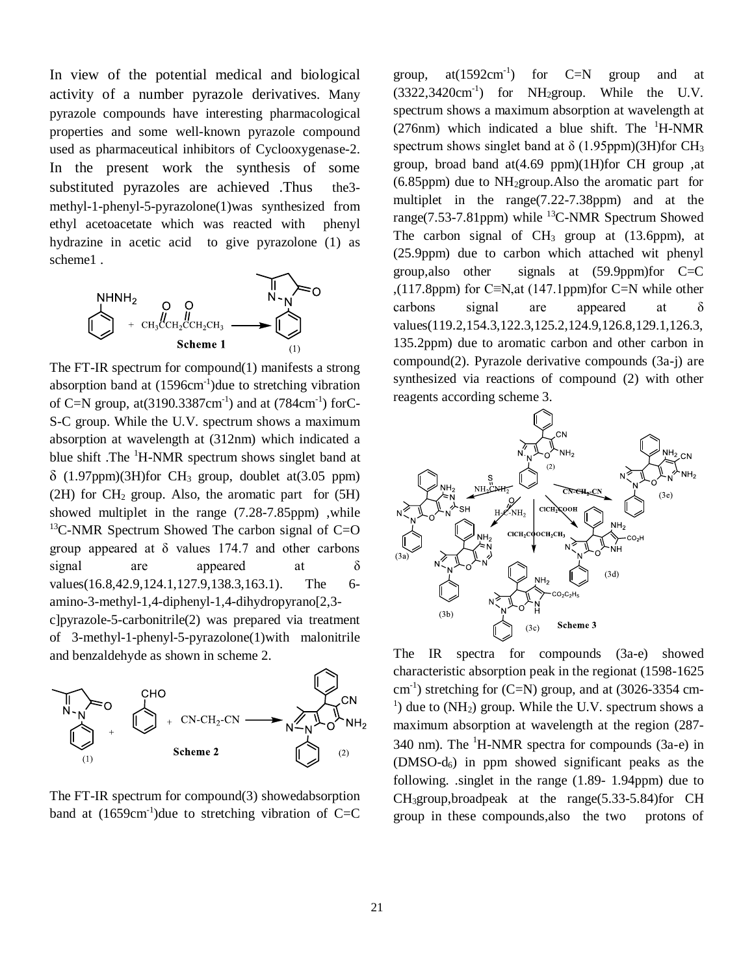In view of the potential medical and biological activity of a number pyrazole derivatives. Many pyrazole compounds have interesting pharmacological properties and some well-known pyrazole compound used as pharmaceutical inhibitors of Cyclooxygenase-2. In the present work the synthesis of some substituted pyrazoles are achieved .Thus the3 methyl-1-phenyl-5-pyrazolone(1)was synthesized from ethyl acetoacetate which was reacted with phenyl hydrazine in acetic acid to give pyrazolone (1) as scheme1 .



The FT-IR spectrum for compound(1) manifests a strong absorption band at  $(1596 \text{cm}^{-1})$ due to stretching vibration of C=N group, at $(3190.3387cm^{-1})$  and at  $(784cm^{-1})$  forC-S-C group. While the U.V. spectrum shows a maximum absorption at wavelength at (312nm) which indicated a blue shift .The <sup>1</sup>H-NMR spectrum shows singlet band at  $\delta$  (1.97ppm)(3H)for CH<sub>3</sub> group, doublet at(3.05 ppm)  $(2H)$  for  $CH<sub>2</sub>$  group. Also, the aromatic part for  $(5H)$ showed multiplet in the range (7.28-7.85ppm) ,while  $13C-NMR$  Spectrum Showed The carbon signal of C=O group appeared at  $\delta$  values 174.7 and other carbons signal are appeared at  $\delta$ values(16.8,42.9,124.1,127.9,138.3,163.1). The 6amino-3-methyl-1,4-diphenyl-1,4-dihydropyrano[2,3 c]pyrazole-5-carbonitrile(2) was prepared via treatment of 3-methyl-1-phenyl-5-pyrazolone(1)with malonitrile and benzaldehyde as shown in scheme 2.



The FT-IR spectrum for compound(3) showedabsorption band at  $(1659cm<sup>-1</sup>)$  due to stretching vibration of C=C

group,  $at(1592cm^{-1})$ ) for C=N group and at  $(3322, 3420 \text{cm}^{-1})$  for NH<sub>2</sub>group. While the U.V. spectrum shows a maximum absorption at wavelength at (276nm) which indicated a blue shift. The  ${}^{1}$ H-NMR spectrum shows singlet band at  $\delta$  (1.95ppm)(3H)for CH<sub>3</sub> group, broad band at(4.69 ppm)(1H)for CH group ,at  $(6.85$ ppm) due to NH<sub>2</sub>group. Also the aromatic part for multiplet in the range(7.22-7.38ppm) and at the range(7.53-7.81ppm) while  ${}^{13}$ C-NMR Spectrum Showed The carbon signal of  $CH_3$  group at (13.6ppm), at (25.9ppm) due to carbon which attached wit phenyl group,also other signals at (59.9ppm)for C=C ,(117.8ppm) for C≡N,at (147.1ppm)for C=N while other carbons signal are appeared at δ values(119.2,154.3,122.3,125.2,124.9,126.8,129.1,126.3, 135.2ppm) due to aromatic carbon and other carbon in compound(2). Pyrazole derivative compounds (3a-j) are synthesized via reactions of compound (2) with other reagents according scheme 3.



The IR spectra for compounds (3a-e) showed characteristic absorption peak in the regionat (1598-1625  $\text{cm}^{-1}$ ) stretching for (C=N) group, and at (3026-3354 cm-<sup>1</sup>) due to (NH<sub>2</sub>) group. While the U.V. spectrum shows a maximum absorption at wavelength at the region (287- 340 nm). The  ${}^{1}$ H-NMR spectra for compounds (3a-e) in  $(DMSO-d<sub>6</sub>)$  in ppm showed significant peaks as the following. .singlet in the range (1.89- 1.94ppm) due to CH3group,broadpeak at the range(5.33-5.84)for CH group in these compounds,also the two protons of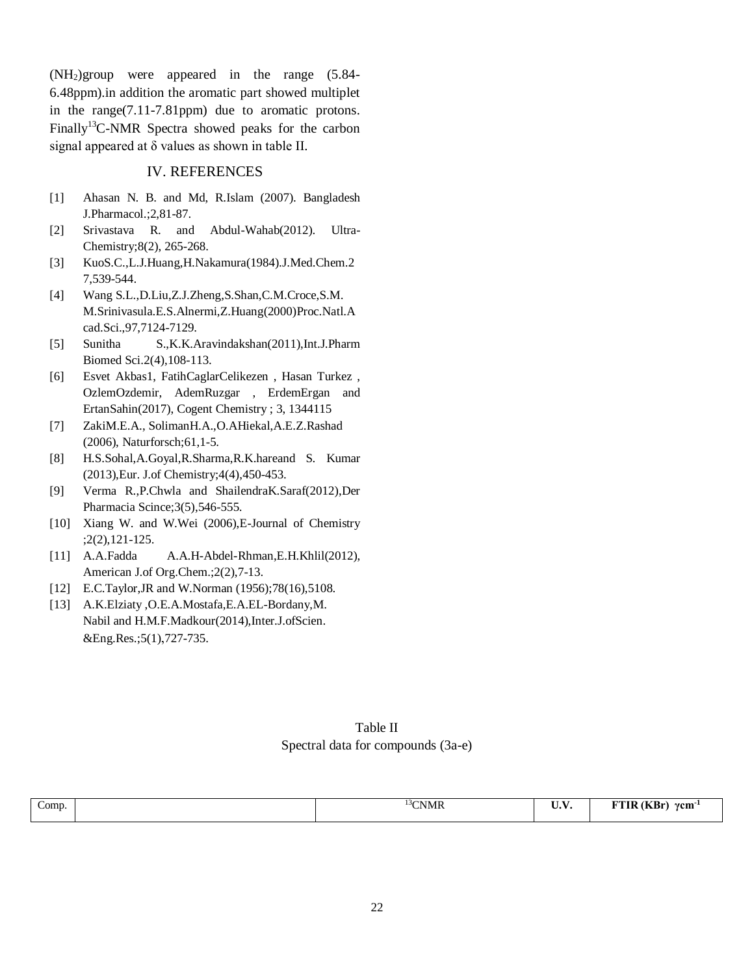(NH2)group were appeared in the range (5.84- 6.48ppm).in addition the aromatic part showed multiplet in the range(7.11-7.81ppm) due to aromatic protons. Finally<sup>13</sup>C-NMR Spectra showed peaks for the carbon signal appeared at δ values as shown in table II.

### IV. REFERENCES

- [1] Ahasan N. B. and Md, R.Islam (2007). Bangladesh J.Pharmacol.;2,81-87.
- [2] Srivastava R. and Abdul-Wahab(2012). Ultra-Chemistry;8(2), 265-268.
- [3] KuoS.C.,L.J.Huang,H.Nakamura(1984).J.Med.Chem.2 7,539-544.
- [4] Wang S.L.,D.Liu,Z.J.Zheng,S.Shan,C.M.Croce,S.M. M.Srinivasula.E.S.Alnermi,Z.Huang(2000)Proc.Natl.A cad.Sci.,97,7124-7129.
- [5] Sunitha S.,K.K.Aravindakshan(2011),Int.J.Pharm Biomed Sci.2(4),108-113.
- [6] Esvet Akbas1, FatihCaglarCelikezen , Hasan Turkez , OzlemOzdemir, AdemRuzgar , ErdemErgan and ErtanSahin(2017), Cogent Chemistry ; 3, 1344115
- [7] ZakiM.E.A., SolimanH.A.,O.AHiekal,A.E.Z.Rashad (2006), Naturforsch;61,1-5.
- [8] H.S.Sohal,A.Goyal,R.Sharma,R.K.hareand S. Kumar (2013),Eur. J.of Chemistry;4(4),450-453.
- [9] Verma R.,P.Chwla and ShailendraK.Saraf(2012),Der Pharmacia Scince;3(5),546-555.
- [10] Xiang W. and W.Wei (2006), E-Journal of Chemistry ;2(2),121-125.
- [11] A.A.Fadda A.A.H-Abdel-Rhman,E.H.Khlil(2012), American J.of Org.Chem.;2(2),7-13.
- [12] E.C.Taylor,JR and W.Norman (1956);78(16),5108.
- [13] A.K.Elziaty ,O.E.A.Mostafa,E.A.EL-Bordany,M. Nabil and H.M.F.Madkour(2014),Inter.J.ofScien. &Eng.Res.;5(1),727-735.

# Table II Spectral data for compounds (3a-e)

| $\sim$<br>Comp. | <sup>3</sup> CNMR | $- - -$<br>$\mathbf{v} \cdot \mathbf{v}$ | (KBr)<br>--<br>γcm <sup>-</sup><br>. .<br>$\sim$ |
|-----------------|-------------------|------------------------------------------|--------------------------------------------------|